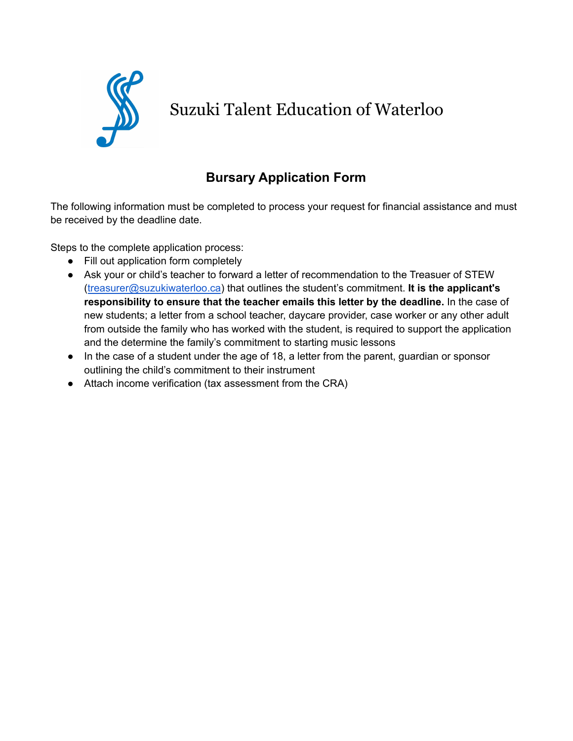

## Suzuki Talent Education of Waterloo

## **Bursary Application Form**

The following information must be completed to process your request for financial assistance and must be received by the deadline date.

Steps to the complete application process:

- Fill out application form completely
- Ask your or child's teacher to forward a letter of recommendation to the Treasuer of STEW ([treasurer@suzukiwaterloo.ca](mailto:treasurer@suzukiwaterloo.ca)) that outlines the student's commitment. **It is the applicant's responsibility to ensure that the teacher emails this letter by the deadline.** In the case of new students; a letter from a school teacher, daycare provider, case worker or any other adult from outside the family who has worked with the student, is required to support the application and the determine the family's commitment to starting music lessons
- In the case of a student under the age of 18, a letter from the parent, quardian or sponsor outlining the child's commitment to their instrument
- Attach income verification (tax assessment from the CRA)